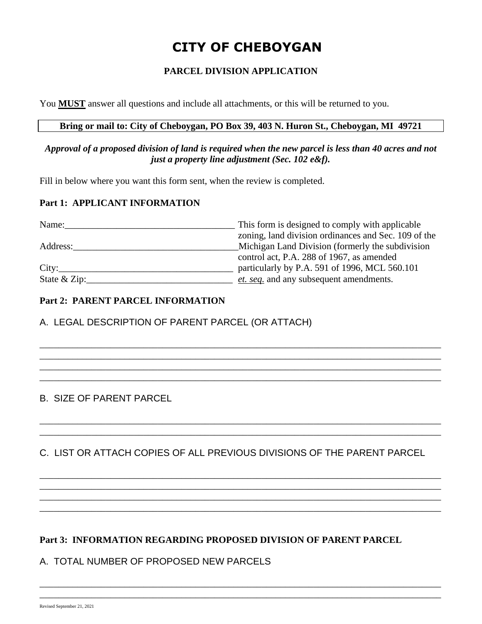# **CITY OF CHEBOYGAN**

# **PARCEL DIVISION APPLICATION**

You **MUST** answer all questions and include all attachments, or this will be returned to you.

### **Bring or mail to: City of Cheboygan, PO Box 39, 403 N. Huron St., Cheboygan, MI 49721**

#### *Approval of a proposed division of land is required when the new parcel is less than 40 acres and not just a property line adjustment (Sec. 102 e&f).*

Fill in below where you want this form sent, when the review is completed.

#### **Part 1: APPLICANT INFORMATION**

| Name:          | This form is designed to comply with applicable      |
|----------------|------------------------------------------------------|
|                | zoning, land division ordinances and Sec. 109 of the |
| Address:       | Michigan Land Division (formerly the subdivision     |
|                | control act, P.A. 288 of 1967, as amended            |
| City:          | particularly by P.A. 591 of 1996, MCL 560.101        |
| State $&$ Zip: | et. seq. and any subsequent amendments.              |

\_\_\_\_\_\_\_\_\_\_\_\_\_\_\_\_\_\_\_\_\_\_\_\_\_\_\_\_\_\_\_\_\_\_\_\_\_\_\_\_\_\_\_\_\_\_\_\_\_\_\_\_\_\_\_\_\_\_\_\_\_\_\_\_\_\_\_\_\_\_\_\_\_\_\_\_\_\_\_\_\_\_\_\_\_ \_\_\_\_\_\_\_\_\_\_\_\_\_\_\_\_\_\_\_\_\_\_\_\_\_\_\_\_\_\_\_\_\_\_\_\_\_\_\_\_\_\_\_\_\_\_\_\_\_\_\_\_\_\_\_\_\_\_\_\_\_\_\_\_\_\_\_\_\_\_\_\_\_\_\_\_\_\_\_\_\_\_\_\_\_ \_\_\_\_\_\_\_\_\_\_\_\_\_\_\_\_\_\_\_\_\_\_\_\_\_\_\_\_\_\_\_\_\_\_\_\_\_\_\_\_\_\_\_\_\_\_\_\_\_\_\_\_\_\_\_\_\_\_\_\_\_\_\_\_\_\_\_\_\_\_\_\_\_\_\_\_\_\_\_\_\_\_\_\_\_ \_\_\_\_\_\_\_\_\_\_\_\_\_\_\_\_\_\_\_\_\_\_\_\_\_\_\_\_\_\_\_\_\_\_\_\_\_\_\_\_\_\_\_\_\_\_\_\_\_\_\_\_\_\_\_\_\_\_\_\_\_\_\_\_\_\_\_\_\_\_\_\_\_\_\_\_\_\_\_\_\_\_\_\_\_

## **Part 2: PARENT PARCEL INFORMATION**

A. LEGAL DESCRIPTION OF PARENT PARCEL (OR ATTACH)

# B. SIZE OF PARENT PARCEL

C. LIST OR ATTACH COPIES OF ALL PREVIOUS DIVISIONS OF THE PARENT PARCEL

\_\_\_\_\_\_\_\_\_\_\_\_\_\_\_\_\_\_\_\_\_\_\_\_\_\_\_\_\_\_\_\_\_\_\_\_\_\_\_\_\_\_\_\_\_\_\_\_\_\_\_\_\_\_\_\_\_\_\_\_\_\_\_\_\_\_\_\_\_\_\_\_\_\_\_\_\_\_\_\_\_\_\_\_\_ \_\_\_\_\_\_\_\_\_\_\_\_\_\_\_\_\_\_\_\_\_\_\_\_\_\_\_\_\_\_\_\_\_\_\_\_\_\_\_\_\_\_\_\_\_\_\_\_\_\_\_\_\_\_\_\_\_\_\_\_\_\_\_\_\_\_\_\_\_\_\_\_\_\_\_\_\_\_\_\_\_\_\_\_\_

\_\_\_\_\_\_\_\_\_\_\_\_\_\_\_\_\_\_\_\_\_\_\_\_\_\_\_\_\_\_\_\_\_\_\_\_\_\_\_\_\_\_\_\_\_\_\_\_\_\_\_\_\_\_\_\_\_\_\_\_\_\_\_\_\_\_\_\_\_\_\_\_\_\_\_\_\_\_\_\_\_\_\_\_\_ \_\_\_\_\_\_\_\_\_\_\_\_\_\_\_\_\_\_\_\_\_\_\_\_\_\_\_\_\_\_\_\_\_\_\_\_\_\_\_\_\_\_\_\_\_\_\_\_\_\_\_\_\_\_\_\_\_\_\_\_\_\_\_\_\_\_\_\_\_\_\_\_\_\_\_\_\_\_\_\_\_\_\_\_\_ \_\_\_\_\_\_\_\_\_\_\_\_\_\_\_\_\_\_\_\_\_\_\_\_\_\_\_\_\_\_\_\_\_\_\_\_\_\_\_\_\_\_\_\_\_\_\_\_\_\_\_\_\_\_\_\_\_\_\_\_\_\_\_\_\_\_\_\_\_\_\_\_\_\_\_\_\_\_\_\_\_\_\_\_\_ \_\_\_\_\_\_\_\_\_\_\_\_\_\_\_\_\_\_\_\_\_\_\_\_\_\_\_\_\_\_\_\_\_\_\_\_\_\_\_\_\_\_\_\_\_\_\_\_\_\_\_\_\_\_\_\_\_\_\_\_\_\_\_\_\_\_\_\_\_\_\_\_\_\_\_\_\_\_\_\_\_\_\_\_\_

\_\_\_\_\_\_\_\_\_\_\_\_\_\_\_\_\_\_\_\_\_\_\_\_\_\_\_\_\_\_\_\_\_\_\_\_\_\_\_\_\_\_\_\_\_\_\_\_\_\_\_\_\_\_\_\_\_\_\_\_\_\_\_\_\_\_\_\_\_\_\_\_\_\_\_\_\_\_\_\_\_\_\_\_\_ \_\_\_\_\_\_\_\_\_\_\_\_\_\_\_\_\_\_\_\_\_\_\_\_\_\_\_\_\_\_\_\_\_\_\_\_\_\_\_\_\_\_\_\_\_\_\_\_\_\_\_\_\_\_\_\_\_\_\_\_\_\_\_\_\_\_\_\_\_\_\_\_\_\_\_\_\_\_\_\_\_\_\_\_\_

## **Part 3: INFORMATION REGARDING PROPOSED DIVISION OF PARENT PARCEL**

# A. TOTAL NUMBER OF PROPOSED NEW PARCELS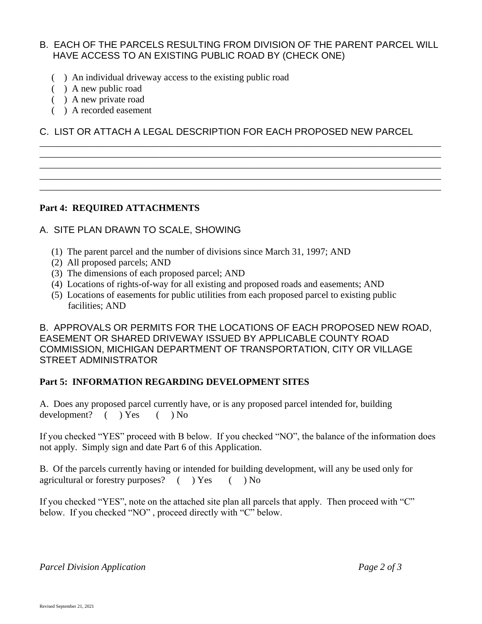# B. EACH OF THE PARCELS RESULTING FROM DIVISION OF THE PARENT PARCEL WILL HAVE ACCESS TO AN EXISTING PUBLIC ROAD BY (CHECK ONE)

- ( ) An individual driveway access to the existing public road
- ( ) A new public road
- ( ) A new private road
- ( ) A recorded easement

C. LIST OR ATTACH A LEGAL DESCRIPTION FOR EACH PROPOSED NEW PARCEL

\_\_\_\_\_\_\_\_\_\_\_\_\_\_\_\_\_\_\_\_\_\_\_\_\_\_\_\_\_\_\_\_\_\_\_\_\_\_\_\_\_\_\_\_\_\_\_\_\_\_\_\_\_\_\_\_\_\_\_\_\_\_\_\_\_\_\_\_\_\_\_\_\_\_\_\_\_\_\_\_\_\_\_\_\_ \_\_\_\_\_\_\_\_\_\_\_\_\_\_\_\_\_\_\_\_\_\_\_\_\_\_\_\_\_\_\_\_\_\_\_\_\_\_\_\_\_\_\_\_\_\_\_\_\_\_\_\_\_\_\_\_\_\_\_\_\_\_\_\_\_\_\_\_\_\_\_\_\_\_\_\_\_\_\_\_\_\_\_\_\_ \_\_\_\_\_\_\_\_\_\_\_\_\_\_\_\_\_\_\_\_\_\_\_\_\_\_\_\_\_\_\_\_\_\_\_\_\_\_\_\_\_\_\_\_\_\_\_\_\_\_\_\_\_\_\_\_\_\_\_\_\_\_\_\_\_\_\_\_\_\_\_\_\_\_\_\_\_\_\_\_\_\_\_\_\_ \_\_\_\_\_\_\_\_\_\_\_\_\_\_\_\_\_\_\_\_\_\_\_\_\_\_\_\_\_\_\_\_\_\_\_\_\_\_\_\_\_\_\_\_\_\_\_\_\_\_\_\_\_\_\_\_\_\_\_\_\_\_\_\_\_\_\_\_\_\_\_\_\_\_\_\_\_\_\_\_\_\_\_\_\_ \_\_\_\_\_\_\_\_\_\_\_\_\_\_\_\_\_\_\_\_\_\_\_\_\_\_\_\_\_\_\_\_\_\_\_\_\_\_\_\_\_\_\_\_\_\_\_\_\_\_\_\_\_\_\_\_\_\_\_\_\_\_\_\_\_\_\_\_\_\_\_\_\_\_\_\_\_\_\_\_\_\_\_\_\_

## **Part 4: REQUIRED ATTACHMENTS**

## A. SITE PLAN DRAWN TO SCALE, SHOWING

- (1) The parent parcel and the number of divisions since March 31, 1997; AND
- (2) All proposed parcels; AND
- (3) The dimensions of each proposed parcel; AND
- (4) Locations of rights-of-way for all existing and proposed roads and easements; AND
- (5) Locations of easements for public utilities from each proposed parcel to existing public facilities; AND

B. APPROVALS OR PERMITS FOR THE LOCATIONS OF EACH PROPOSED NEW ROAD, EASEMENT OR SHARED DRIVEWAY ISSUED BY APPLICABLE COUNTY ROAD COMMISSION, MICHIGAN DEPARTMENT OF TRANSPORTATION, CITY OR VILLAGE STREET ADMINISTRATOR

## **Part 5: INFORMATION REGARDING DEVELOPMENT SITES**

A. Does any proposed parcel currently have, or is any proposed parcel intended for, building development? ( ) Yes ( ) No

If you checked "YES" proceed with B below. If you checked "NO", the balance of the information does not apply. Simply sign and date Part 6 of this Application.

B. Of the parcels currently having or intended for building development, will any be used only for agricultural or forestry purposes? ( ) Yes ( ) No

If you checked "YES", note on the attached site plan all parcels that apply. Then proceed with "C" below. If you checked "NO" , proceed directly with "C" below.

*Parcel Division Application Page 2 of 3*